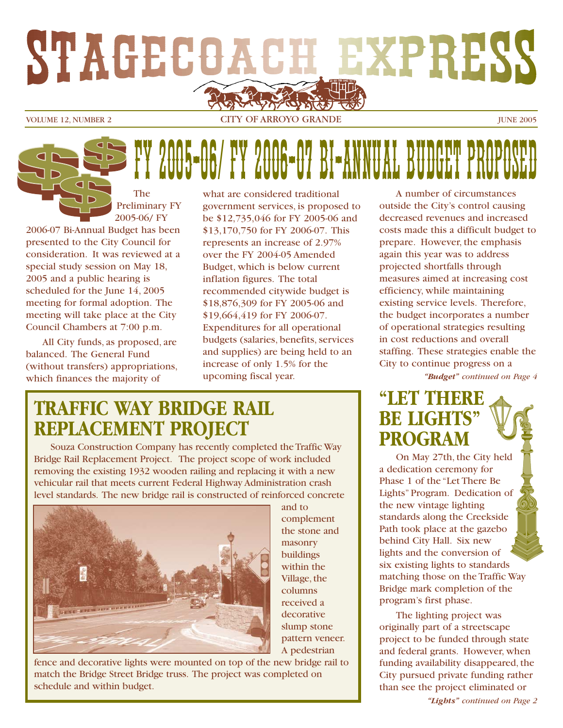

VOLUME 12. NUMBER 2 CITY OF ARROYO GRANDE JUNE 2005

# FROOF-06/ FY 2006-07 BI-ANNUAL BUD

The Preliminary FY 2005-06/ FY

2006-07 Bi-Annual Budget has been presented to the City Council for consideration. It was reviewed at a special study session on May 18, 2005 and a public hearing is scheduled for the June 14, 2005 meeting for formal adoption. The meeting will take place at the City Council Chambers at 7:00 p.m.

All City funds, as proposed, are balanced. The General Fund (without transfers) appropriations, which finances the majority of

what are considered traditional government services, is proposed to be \$12,735,046 for FY 2005-06 and \$13,170,750 for FY 2006-07. This represents an increase of 2.97% over the FY 2004-05 Amended Budget, which is below current inflation figures. The total recommended citywide budget is \$18,876,309 for FY 2005-06 and \$19,664,419 for FY 2006-07. Expenditures for all operational budgets (salaries, benefits, services and supplies) are being held to an increase of only 1.5% for the upcoming fiscal year.

## **TRAFFIC WAY BRIDGE RAIL REPLACEMENT PROJECT**

Souza Construction Company has recently completed the Traffic Way Bridge Rail Replacement Project. The project scope of work included removing the existing 1932 wooden railing and replacing it with a new vehicular rail that meets current Federal Highway Administration crash level standards. The new bridge rail is constructed of reinforced concrete



and to complement the stone and masonry buildings within the Village, the columns received a decorative slump stone pattern veneer. A pedestrian

fence and decorative lights were mounted on top of the new bridge rail to match the Bridge Street Bridge truss. The project was completed on schedule and within budget.

*"Budget" continued on Page 4* A number of circumstances outside the City's control causing decreased revenues and increased costs made this a difficult budget to prepare. However, the emphasis again this year was to address projected shortfalls through measures aimed at increasing cost efficiency, while maintaining existing service levels. Therefore, the budget incorporates a number of operational strategies resulting in cost reductions and overall staffing. These strategies enable the City to continue progress on a

## **"LET THERE BE LIGHTS" PROGRAM**

On May 27th, the City held a dedication ceremony for Phase 1 of the "Let There Be Lights" Program. Dedication of the new vintage lighting standards along the Creekside Path took place at the gazebo behind City Hall. Six new lights and the conversion of six existing lights to standards matching those on the Traffic Way Bridge mark completion of the program's first phase.

The lighting project was originally part of a streetscape project to be funded through state and federal grants. However, when funding availability disappeared, the City pursued private funding rather than see the project eliminated or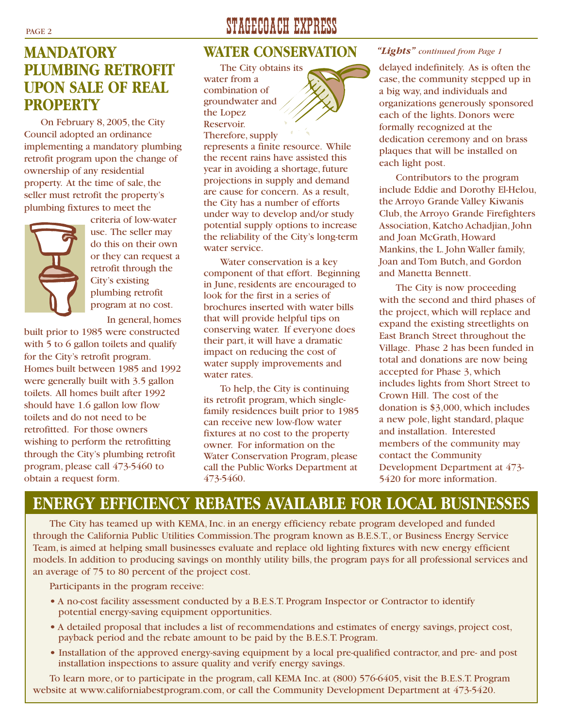## **MANDATORY PLUMBING RETROFIT UPON SALE OF REAL PROPERTY**

On February 8, 2005, the City Council adopted an ordinance implementing a mandatory plumbing retrofit program upon the change of ownership of any residential property. At the time of sale, the seller must retrofit the property's plumbing fixtures to meet the



criteria of low-water use. The seller may do this on their own or they can request a retrofit through the City's existing plumbing retrofit program at no cost.

In general, homes

built prior to 1985 were constructed with 5 to 6 gallon toilets and qualify for the City's retrofit program. Homes built between 1985 and 1992 were generally built with 3.5 gallon toilets. All homes built after 1992 should have 1.6 gallon low flow toilets and do not need to be retrofitted. For those owners wishing to perform the retrofitting through the City's plumbing retrofit program, please call 473-5460 to obtain a request form.

## PAGE 2 STAGECOACH EXPRESS

### **WATER CONSERVATION**

The City obtains its water from a combination of groundwater and the Lopez Reservoir. Therefore, supply

represents a finite resource. While the recent rains have assisted this year in avoiding a shortage, future projections in supply and demand are cause for concern. As a result, the City has a number of efforts under way to develop and/or study potential supply options to increase the reliability of the City's long-term water service.

Water conservation is a key component of that effort. Beginning in June, residents are encouraged to look for the first in a series of brochures inserted with water bills that will provide helpful tips on conserving water. If everyone does their part, it will have a dramatic impact on reducing the cost of water supply improvements and water rates.

To help, the City is continuing its retrofit program, which singlefamily residences built prior to 1985 can receive new low-flow water fixtures at no cost to the property owner. For information on the Water Conservation Program, please call the Public Works Department at 473-5460.

#### *"Lights" continued from Page 1*

delayed indefinitely. As is often the case, the community stepped up in a big way, and individuals and organizations generously sponsored each of the lights. Donors were formally recognized at the dedication ceremony and on brass plaques that will be installed on each light post.

Contributors to the program include Eddie and Dorothy El-Helou, the Arroyo Grande Valley Kiwanis Club, the Arroyo Grande Firefighters Association, Katcho Achadjian, John and Joan McGrath, Howard Mankins, the L. John Waller family, Joan and Tom Butch, and Gordon and Manetta Bennett.

The City is now proceeding with the second and third phases of the project, which will replace and expand the existing streetlights on East Branch Street throughout the Village. Phase 2 has been funded in total and donations are now being accepted for Phase 3, which includes lights from Short Street to Crown Hill. The cost of the donation is \$3,000, which includes a new pole, light standard, plaque and installation. Interested members of the community may contact the Community Development Department at 473- 5420 for more information.

## **ENERGY EFFICIENCY REBATES AVAILABLE FOR LOCAL BUSINESSES**

The City has teamed up with KEMA, Inc. in an energy efficiency rebate program developed and funded through the California Public Utilities Commission.The program known as B.E.S.T., or Business Energy Service Team, is aimed at helping small businesses evaluate and replace old lighting fixtures with new energy efficient models. In addition to producing savings on monthly utility bills, the program pays for all professional services and an average of 75 to 80 percent of the project cost.

Participants in the program receive:

- **•** A no-cost facility assessment conducted by a B.E.S.T. Program Inspector or Contractor to identify potential energy-saving equipment opportunities.
- **•** A detailed proposal that includes a list of recommendations and estimates of energy savings, project cost, payback period and the rebate amount to be paid by the B.E.S.T. Program.
- **•** Installation of the approved energy-saving equipment by a local pre-qualified contractor, and pre- and post installation inspections to assure quality and verify energy savings.

To learn more, or to participate in the program, call KEMA Inc. at (800) 576-6405, visit the B.E.S.T. Program website at www.californiabestprogram.com, or call the Community Development Department at 473-5420.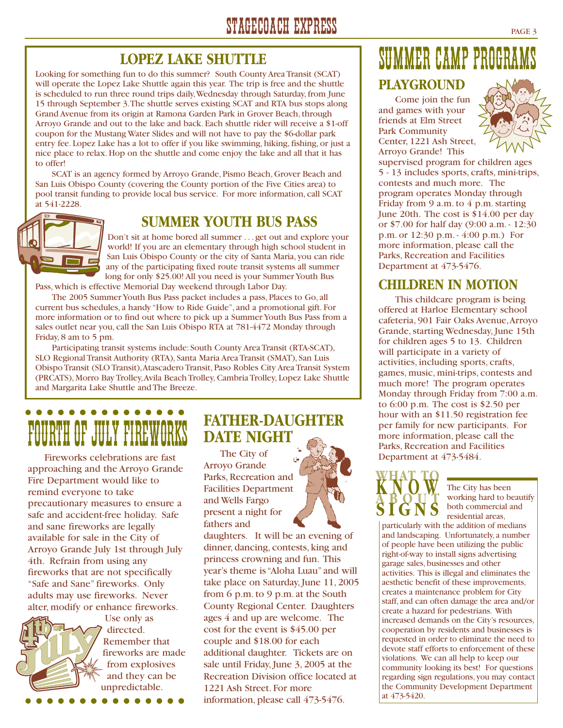## **LOPEZ LAKE SHUTTLE**

Looking for something fun to do this summer? South County Area Transit (SCAT) will operate the Lopez Lake Shuttle again this year. The trip is free and the shuttle is scheduled to run three round trips daily,Wednesday through Saturday, from June 15 through September 3.The shuttle serves existing SCAT and RTA bus stops along Grand Avenue from its origin at Ramona Garden Park in Grover Beach, through Arroyo Grande and out to the lake and back. Each shuttle rider will receive a \$1-off coupon for the Mustang Water Slides and will not have to pay the \$6-dollar park entry fee. Lopez Lake has a lot to offer if you like swimming, hiking, fishing, or just a nice place to relax. Hop on the shuttle and come enjoy the lake and all that it has to offer!

SCAT is an agency formed by Arroyo Grande, Pismo Beach, Grover Beach and San Luis Obispo County (covering the County portion of the Five Cities area) to pool transit funding to provide local bus service. For more information, call SCAT at 541-2228.

## **SUMMER YOUTH BUS PASS**

Don't sit at home bored all summer . . . get out and explore your world! If you are an elementary through high school student in San Luis Obispo County or the city of Santa Maria, you can ride any of the participating fixed route transit systems all summer long for only \$25.00! All you need is your Summer Youth Bus Pass, which is effective Memorial Day weekend through Labor Day.

The 2005 Summer Youth Bus Pass packet includes a pass, Places to Go, all current bus schedules, a handy "How to Ride Guide", and a promotional gift. For more information or to find out where to pick up a Summer Youth Bus Pass from a sales outlet near you, call the San Luis Obispo RTA at 781-4472 Monday through Friday, 8 am to 5 pm.

Participating transit systems include: South County Area Transit (RTA-SCAT), SLO Regional Transit Authority (RTA), Santa Maria Area Transit (SMAT), San Luis Obispo Transit (SLO Transit),Atascadero Transit, Paso Robles City Area Transit System (PRCATS), Morro Bay Trolley,Avila Beach Trolley, Cambria Trolley, Lopez Lake Shuttle and Margarita Lake Shuttle and The Breeze.

## . . . . . . . . . . . FOURTH OF JULY FIREW

Fireworks celebrations are fast approaching and the Arroyo Grande Fire Department would like to remind everyone to take precautionary measures to ensure a safe and accident-free holiday. Safe and sane fireworks are legally available for sale in the City of Arroyo Grande July 1st through July 4th. Refrain from using any fireworks that are not specifically "Safe and Sane" fireworks. Only adults may use fireworks. Never alter, modify or enhance fireworks.



Use only as directed. Remember that fireworks are made from explosives and they can be unpredictable.

## **FATHER-DAUGHTER DATE NIGHT**

The City of Arroyo Grande Parks, Recreation and Facilities Department and Wells Fargo present a night for fathers and

daughters. It will be an evening of dinner, dancing, contests, king and princess crowning and fun. This year's theme is "Aloha Luau" and will take place on Saturday, June 11, 2005 from 6 p.m. to 9 p.m. at the South County Regional Center. Daughters ages 4 and up are welcome. The cost for the event is \$45.00 per couple and \$18.00 for each additional daughter. Tickets are on sale until Friday, June 3, 2005 at the Recreation Division office located at 1221 Ash Street. For more information, please call 473-5476.



## SUMMER CAMP PROGRAM

## **PLAYGROUND**

Come join the fun and games with your friends at Elm Street Park Community Center, 1221 Ash Street, Arroyo Grande! This



supervised program for children ages 5 - 13 includes sports, crafts, mini-trips, contests and much more. The program operates Monday through Friday from 9 a.m. to  $4$  p.m. starting June 20th. The cost is \$14.00 per day or \$7.00 for half day (9:00 a.m. - 12:30 p.m. or 12:30 p.m. - 4:00 p.m.) For more information, please call the Parks, Recreation and Facilities Department at 473-5476.

### **CHILDREN IN MOTION**

This childcare program is being offered at Harloe Elementary school cafeteria, 901 Fair Oaks Avenue,Arroyo Grande, starting Wednesday, June 15th for children ages 5 to 13. Children will participate in a variety of activities, including sports, crafts, games, music, mini-trips, contests and much more! The program operates Monday through Friday from 7:00 a.m. to 6:00 p.m. The cost is \$2.50 per hour with an \$11.50 registration fee per family for new participants. For more information, please call the Parks, Recreation and Facilities Department at 473-5484.



The City has been working hard to beautify both commercial and residential areas,

particularly with the addition of medians and landscaping. Unfortunately, a number of people have been utilizing the public right-of-way to install signs advertising garage sales, businesses and other activities. This is illegal and eliminates the aesthetic benefit of these improvements, creates a maintenance problem for City staff, and can often damage the area and/or create a hazard for pedestrians. With increased demands on the City's resources, cooperation by residents and businesses is requested in order to eliminate the need to devote staff efforts to enforcement of these violations. We can all help to keep our community looking its best! For questions regarding sign regulations, you may contact the Community Development Department at 473-5420.